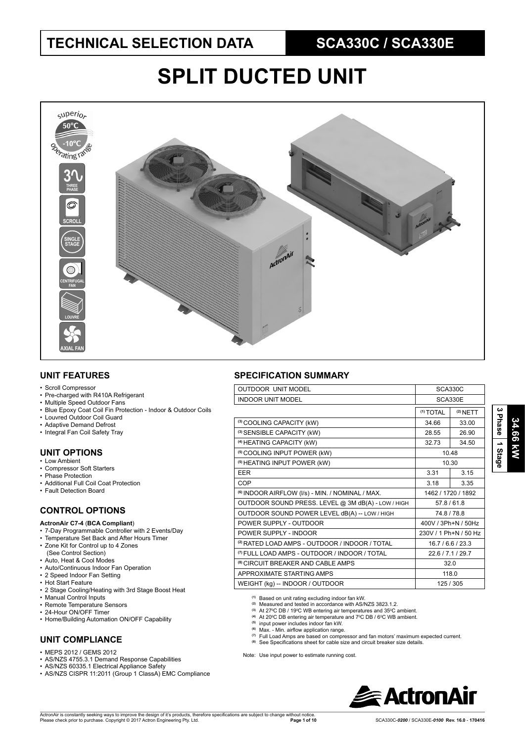# **SPLIT DUCTED UNIT**



### **UNIT FEATURES**

- Scroll Compressor
- Pre-charged with R410A Refrigerant
- Multiple Speed Outdoor Fans
- Blue Epoxy Coat Coil Fin Protection Indoor & Outdoor Coils
- Louvred Outdoor Coil Guard
- Adaptive Demand Defrost
- Integral Fan Coil Safety Tray

### **UNIT OPTIONS**

- Low Ambient
- Compressor Soft Starters
- Phase Protection
- Additional Full Coil Coat Protection • Fault Detection Board
- 

### **CONTROL OPTIONS**

- **ActronAir C7-4** (**BCA Compliant**)
- 7-Day Programmable Controller with 2 Events/Day
- Temperature Set Back and After Hours Timer
- Zone Kit for Control up to 4 Zones
- (See Control Section) • Auto, Heat & Cool Modes
- Auto/Continuous Indoor Fan Operation
- 2 Speed Indoor Fan Setting
- Hot Start Feature
- 2 Stage Cooling/Heating with 3rd Stage Boost Heat
- Manual Control Inputs
- Remote Temperature Sensors
- 24-Hour ON/OFF Timer
- Home/Building Automation ON/OFF Capability

#### **UNIT COMPLIANCE**

- MEPS 2012 / GEMS 2012
- AS/NZS 4755.3.1 Demand Response Capabilities
- AS/NZS 60335.1 Electrical Appliance Safety
- AS/NZS CISPR 11:2011 (Group 1 ClassA) EMC Compliance

#### **SPECIFICATION SUMMARY**

| <b>OUTDOOR UNIT MODEL</b>                                                 | SCA330C              |                       |  |  |  |
|---------------------------------------------------------------------------|----------------------|-----------------------|--|--|--|
| <b>INDOOR UNIT MODEL</b><br>SCA330E                                       |                      |                       |  |  |  |
|                                                                           | <sup>(1)</sup> TOTAL | $(2)$ NETT            |  |  |  |
| (3) COOLING CAPACITY (kW)                                                 | 34.66                | 33.00                 |  |  |  |
| (3) SENSIBLE CAPACITY (kW)                                                | 28.55                | 26.90                 |  |  |  |
| <sup>(4)</sup> HEATING CAPACITY (kW)                                      | 32.73                | 34.50                 |  |  |  |
| <sup>(5)</sup> COOLING INPUT POWER (kW)                                   |                      | 10.48                 |  |  |  |
| <sup>(5)</sup> HEATING INPUT POWER (kW)                                   | 10.30                |                       |  |  |  |
| <b>EER</b>                                                                | 3.31                 | 3.15                  |  |  |  |
| COP                                                                       | 3.18                 | 3.35                  |  |  |  |
| <sup>(6)</sup> INDOOR AIRFLOW (I/s) - MIN. / NOMINAL / MAX.               | 1462 / 1720 / 1892   |                       |  |  |  |
| OUTDOOR SOUND PRESS. LEVEL @ 3M dB(A) - LOW / HIGH                        | 57.8/61.8            |                       |  |  |  |
| OUTDOOR SOUND POWER LEVEL dB(A) -- LOW / HIGH                             | 74.8 / 78.8          |                       |  |  |  |
| POWER SUPPLY - OUTDOOR                                                    | 400V / 3Ph+N / 50Hz  |                       |  |  |  |
| POWER SUPPLY - INDOOR                                                     |                      | 230V / 1 Ph+N / 50 Hz |  |  |  |
| <sup>(2)</sup> RATED LOAD AMPS - OUTDOOR / INDOOR / TOTAL                 |                      | 16.7/6.6/23.3         |  |  |  |
| <sup>(7)</sup> FULL LOAD AMPS - OUTDOOR / INDOOR / TOTAL<br>22.6/7.1/29.7 |                      |                       |  |  |  |
| <sup>(8)</sup> CIRCUIT BREAKER AND CABLE AMPS                             | 32.0                 |                       |  |  |  |
| APPROXIMATE STARTING AMPS                                                 | 118.0                |                       |  |  |  |
| WEIGHT (kg) -- INDOOR / OUTDOOR                                           | 125 / 305            |                       |  |  |  |

**(1)** Based on unit rating excluding indoor fan kW.

- **(2)** Measured and tested in accordance with AS/NZS 3823.1.2.
- <sup>(3)</sup> At 27<sup>°</sup>C DB / 19<sup>°</sup>C WB entering air temperatures and 35<sup>°</sup>C ambient.
- <sup>(4)</sup> At 20<sup>°</sup>C DB entering air temperature and 7<sup>°</sup>C DB / 6<sup>°</sup>C WB ambient.

**(5)** input power includes indoor fan kW.

- 
- ® Max. Min. airflow application range.<br>‴ Full Load Amps are based on compressor and fan motors' maximum expected current.<br>® See Specifications sheet for cable size and circuit breaker size details.
- 

Note: Use input power to estimate running cost.

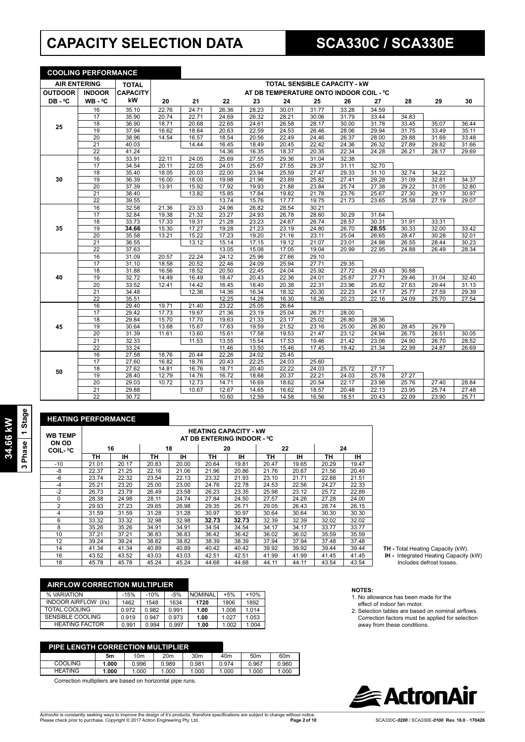## **CAPACITY SELECTION DATA SCA330C / SCA330E**

|                     | <b>COOLING PERFORMANCE</b> |                 |       |       |       |       |       |                                         |       |                    |       |       |       |
|---------------------|----------------------------|-----------------|-------|-------|-------|-------|-------|-----------------------------------------|-------|--------------------|-------|-------|-------|
| <b>AIR ENTERING</b> |                            | <b>TOTAL</b>    |       |       |       |       |       | <b>TOTAL SENSIBLE CAPACITY - KW</b>     |       |                    |       |       |       |
| <b>OUTDOOR</b>      | <b>INDOOR</b>              | <b>CAPACITY</b> |       |       |       |       |       | AT DB TEMPERATURE ONTO INDOOR COIL - °C |       |                    |       |       |       |
| DB-°C               | WB-°C                      | kW              | 20    | 21    | 22    | 23    | 24    | 25                                      | 26    | 27                 | 28    | 29    | 30    |
|                     | 16                         | 35.10           | 22.76 | 24.71 | 26.36 | 28.23 | 30.01 | 31.77                                   | 33.28 | 34.59              |       |       |       |
|                     | 17                         | 35.90           | 20.74 | 22.71 | 24.69 | 26.32 | 28.21 | 30.06                                   | 31.79 | 33.44              | 34.83 |       |       |
| 25                  | 18                         | 36.90           | 18.71 | 20.68 | 22.65 | 24.61 | 26.58 | 28.17                                   | 30.00 | 31.78              | 33.45 | 35.07 | 36.44 |
|                     | 19                         | 37.94           | 16.62 | 18.64 | 20.63 | 22.59 | 24.53 | 26.46                                   | 28.06 | 29.94              | 31.75 | 33.49 | 35.11 |
|                     | $\overline{20}$            | 38.96           | 14.54 | 16.57 | 18.54 | 20.56 | 22.49 | 24.46                                   | 26.37 | 28.00              | 29.88 | 31.69 | 33.48 |
|                     | $\overline{21}$            | 40.03           |       | 14.44 | 16.45 | 18.49 | 20.45 | 22.42                                   | 24.36 | 26.32              | 27.89 | 29.82 | 31.66 |
|                     | 22                         | 41.24           |       |       | 14.36 | 16.35 | 18.37 | 20.35                                   | 22.34 | 24.28              | 26.21 | 28.17 | 29.69 |
|                     | 16                         | 33.91           | 22.11 | 24.05 | 25.69 | 27.55 | 29.36 | 31.04                                   | 32.38 |                    |       |       |       |
|                     | 17                         | 34.54           | 20.11 | 22.05 | 24.01 | 25.67 | 27.55 | 29.37                                   | 31.11 | 32.70              |       |       |       |
|                     | 18                         | 35.40           | 18.05 | 20.03 | 22.00 | 23.94 | 25.59 | 27.47                                   | 29.33 | 31.10              | 32.74 | 34.22 |       |
| 30                  | 19                         | 36.39           | 16.00 | 18.00 | 19.98 | 21.96 | 23.89 | 25.82                                   | 27.41 | 29.28              | 31.09 | 32.81 | 34.37 |
|                     | $\overline{20}$            | 37.39           | 13.91 | 15.92 | 17.92 | 19.93 | 21.88 | 23.84                                   | 25.74 | 27.38              | 29.22 | 31.05 | 32.80 |
|                     | 21                         | 38.40           |       | 13.82 | 15.85 | 17.84 | 19.82 | 21.78                                   | 23.76 | 25.67              | 27.30 | 29.17 | 30.97 |
|                     | $\overline{22}$            | 39.55           |       |       | 13.74 | 15.76 | 17.77 | 19.75                                   | 21.73 | 23.65              | 25.58 | 27.19 | 29.07 |
|                     | 16                         | 32.58           | 21.36 | 23.33 | 24.96 | 26.82 | 28.54 | 30.21                                   |       |                    |       |       |       |
|                     | 17                         | 32.84           | 19.38 | 21.32 | 23.27 | 24.93 | 26.78 | 28.60                                   | 30.29 | 31.64              |       |       |       |
|                     | 18                         | 33.73           | 17.33 | 19.31 | 21.28 | 23.23 | 24.87 | 26.74                                   | 28.57 | 30.31              | 31.91 | 33.31 |       |
| 35                  | 19                         | 34.66           | 15.30 | 17.27 | 19.28 | 21.23 | 23.19 | 24.80                                   | 26.70 | 28.55              | 30.33 | 32.00 | 33.42 |
|                     | 20                         | 35.58           | 13.21 | 15.22 | 17.23 | 19.20 | 21.16 | 23.11                                   | 25.04 | 26.65              | 28.47 | 30.28 | 32.01 |
|                     | 21                         | 36.55           |       | 13.12 | 15.14 | 17.15 | 19.12 | 21.07                                   | 23.01 | 24.98              | 26.55 | 28.44 | 30.23 |
|                     | $\overline{22}$            | 37.63           |       |       | 13.05 | 15.08 | 17.05 | 19.04                                   | 20.99 | 22.95              | 24.88 | 26.49 | 28.34 |
|                     | 16                         | 31.09           | 20.57 | 22.24 | 24.12 | 25.96 | 27.66 | 29.10                                   |       |                    |       |       |       |
|                     | 17                         | 31.10           | 18.58 | 20.52 | 22.46 | 24.09 | 25.94 | 27.71                                   | 29.35 |                    |       |       |       |
|                     | 18                         | 31.88           | 16.56 | 18.52 | 20.50 | 22.45 | 24.04 | 25.92                                   | 27.72 | 29.43              | 30.88 |       |       |
| 40                  | 19                         | 32.72           | 14.49 | 16.49 | 18.47 | 20.43 | 22.36 | 24.01                                   | 25.87 | 27.71              | 29.46 | 31.04 | 32.40 |
|                     | 20                         | 33.52           | 12.41 | 14.42 | 16.45 | 18.40 | 20.38 | 22.31                                   | 23.96 | 25.82              | 27.63 | 29.44 | 31.13 |
|                     | 21                         | 34.48           |       | 12.36 | 14.36 | 16.34 | 18.32 | 20.30                                   | 22.23 | 24.17              | 25.77 | 27.59 | 29.39 |
|                     | $\overline{22}$            | 35.51           |       |       | 12.25 | 14.28 | 16.30 | 18.26                                   | 20.23 | 22.16              | 24.09 | 25.70 | 27.54 |
|                     | 16                         | 29.40           | 19.71 | 21.40 | 23.22 | 25.05 | 26.64 |                                         |       |                    |       |       |       |
|                     | 17                         | 29.42           | 17.73 | 19.67 | 21.36 | 23.19 | 25.04 | 26.71                                   | 28.00 |                    |       |       |       |
|                     | 18                         | 29.84           | 15.70 | 17.70 | 19.63 | 21.33 | 23.17 | 25.02                                   | 26.80 | 28.36              |       |       |       |
| 45                  | 19                         | 30.64           | 13.68 | 15.67 | 17.63 | 19.59 | 21.52 | 23.16                                   | 25.00 | 26.80              | 28.45 | 29.79 |       |
|                     | 20                         | 31.39           | 11.61 | 13.60 | 15.61 | 17.58 | 19.53 | 21.47                                   | 23.12 | 24.94              | 26.75 | 28.51 | 30.05 |
|                     | 21                         | 32.33           |       | 11.53 | 13.55 | 15.54 | 17.53 | 19.46                                   | 21.42 | 23.06              | 24.90 | 26.70 | 28.52 |
|                     | $\overline{22}$            | 33.24           |       |       | 11.46 | 13.50 | 15.46 | 17.45                                   | 19.42 | $21.\overline{34}$ | 22.99 | 24.87 | 26.69 |
|                     | 16                         | 27.58           | 18.76 | 20.44 | 22.26 | 24.02 | 25.45 |                                         |       |                    |       |       |       |
|                     | 17                         | 27.60           | 16.82 | 18.76 | 20.43 | 22.25 | 24.03 | 25.60                                   |       |                    |       |       |       |
| 50                  | 18                         | 27.62           | 14.81 | 16.76 | 18.71 | 20.40 | 22.22 | 24.03                                   | 25.72 | 27.17              |       |       |       |
|                     | 19                         | 28.40           | 12.79 | 14.76 | 16.72 | 18.68 | 20.37 | 22.21                                   | 24.03 | 25.78              | 27.27 |       |       |
|                     | 20                         | 29.03           | 10.72 | 12.73 | 14.71 | 16.69 | 18.62 | 20.54                                   | 22.17 | 23.98              | 25.76 | 27.40 | 28.84 |
|                     | $\overline{21}$            | 29.88           |       | 10.67 | 12.67 | 14.65 | 16.62 | 18.57                                   | 20.48 | 22.13              | 23.95 | 25.74 | 27.48 |
|                     | $\overline{22}$            | 30.72           |       |       | 10.60 | 12.59 | 14.58 | 16.56                                   | 18.51 | 20.43              | 22.09 | 23.90 | 25.71 |

| <b>HEATING PERFORMANCE</b> |       |                                                            |       |       |       |       |       |       |       |       |  |
|----------------------------|-------|------------------------------------------------------------|-------|-------|-------|-------|-------|-------|-------|-------|--|
| <b>WB TEMP</b><br>ON OD    |       | <b>HEATING CAPACITY - kW</b><br>AT DB ENTERING INDOOR - °C |       |       |       |       |       |       |       |       |  |
| <b>COIL-</b> °C            |       | 16                                                         |       | 18    |       | 20    |       | 22    |       | 24    |  |
|                            | ΤН    | ін                                                         | ΤН    | ıн    | ΤН    | IН    | ΤН    | ıн    | ΤН    | IН    |  |
| $-10$                      | 21.01 | 20.17                                                      | 20.83 | 20.00 | 20.64 | 19.81 | 20.47 | 19.65 | 20.29 | 19.47 |  |
| -8                         | 22.37 | 21.25                                                      | 22.16 | 21.06 | 21.96 | 20.86 | 21.76 | 20.67 | 21.56 | 20.49 |  |
| $-6$                       | 23.74 | 22.32                                                      | 23.54 | 22.13 | 23.32 | 21.93 | 23.10 | 21.71 | 22.88 | 21.51 |  |
| $-4$                       | 25.21 | 23.20                                                      | 25.00 | 23.00 | 24.76 | 22.78 | 24.53 | 22.56 | 24.27 | 22.33 |  |
| $-2$                       | 26.73 | 23.79                                                      | 26.49 | 23.58 | 26.23 | 23.35 | 25.98 | 23.12 | 25.72 | 22.89 |  |
| $\Omega$                   | 28.38 | 24.98                                                      | 28.11 | 24.74 | 27.84 | 24.50 | 27.57 | 24.26 | 27.28 | 24.00 |  |
| $\overline{2}$             | 29.93 | 27.23                                                      | 29.65 | 26.98 | 29.35 | 26.71 | 29.05 | 26.43 | 28.74 | 26.15 |  |
| 4                          | 31.59 | 31.59                                                      | 31.28 | 31.28 | 30.97 | 30.97 | 30.64 | 30.64 | 30.30 | 30.30 |  |
| 6                          | 33.32 | 33.32                                                      | 32.98 | 32.98 | 32.73 | 32.73 | 32.39 | 32.39 | 32.02 | 32.02 |  |
| 8                          | 35.26 | 35.26                                                      | 34.91 | 34.91 | 34.54 | 34.54 | 34.17 | 34.17 | 33.77 | 33.77 |  |
| 10                         | 37.21 | 37.21                                                      | 36.83 | 36.83 | 36.42 | 36.42 | 36.02 | 36.02 | 35.59 | 35.59 |  |
| 12                         | 39.24 | 39.24                                                      | 38.82 | 38.82 | 38.39 | 38.39 | 37.94 | 37.94 | 37.48 | 37.48 |  |
| 14                         | 41.34 | 41.34                                                      | 40.89 | 40.89 | 40.42 | 40.42 | 39.92 | 39.92 | 39.44 | 39.44 |  |
| 16                         | 43.52 | 43.52                                                      | 43.03 | 43.03 | 42.51 | 42.51 | 41.99 | 41.99 | 41.45 | 41.45 |  |
| 18                         | 45.78 | 45.78                                                      | 45.24 | 45.24 | 44.68 | 44.68 | 44.11 | 44.11 | 43.54 | 43.54 |  |

| <b>AIRFLOW CORRECTION MULTIPLIER</b> |        |        |       |                |       |        |
|--------------------------------------|--------|--------|-------|----------------|-------|--------|
| % VARIATION                          | $-15%$ | $-10%$ | $-5%$ | <b>NOMINAL</b> | $+5%$ | $+10%$ |
| <b>INDOOR AIRFLOW</b><br>(1/s)       | 1462   | 1548   | 1634  | 1720           | 1806  | 1892   |
| <b>TOTAL COOLING</b>                 | 0.972  | 0.982  | 0.991 | 1.00           | 1.008 | 1.014  |
| <b>SENSIBLE COOLING</b>              | 0.919  | 0.947  | 0.973 | 1.00           | 1.027 | 1.053  |
| <b>HEATING FACTOR</b>                | 0.991  | 0.994  | 0.997 | 1.00           | 1.002 | 1.004  |

| <b>PIPE LENGTH CORRECTION MULTIPLIER</b> |       |       |       |                 |       |                 |                 |  |  |
|------------------------------------------|-------|-------|-------|-----------------|-------|-----------------|-----------------|--|--|
|                                          | 5m    | 10m   | 20m   | 30 <sub>m</sub> | 40m   | 50 <sub>m</sub> | 60 <sub>m</sub> |  |  |
| <b>COOLING</b>                           | 1.000 | 0.996 | 0.989 | 0.981           | 0.974 | 0.967           | 0.960           |  |  |
| <b>HEATING</b>                           | 1.000 | 1.000 | 1.000 | 1.000           | 1.000 | 1.000           | 1.000           |  |  |

Correction multipliers are based on horizontal pipe runs.

## ActronAir is constantly seeking ways to improve the design of it's products, therefore specifications are subject to change without notice.<br>Please check prior to purchase. Copyright © 2017 Actron Engineering Pty. Ltd.

**TH -** Total Heating Capacity (kW).  **IH -** Integrated Heating Capacity (kW) Includes defrost losses.

**NOTES:**

- 1. No allowance has been made for the effect of indoor fan motor.
- 2. Selection tables are based on nominal airflows. Correction factors must be applied for selection away from these conditions.



**34.66 kW 3 Phase 1 Stage**

34.66 kW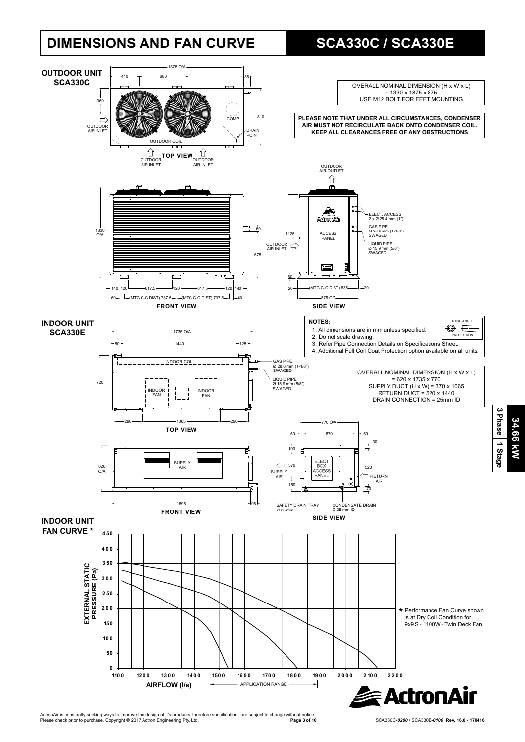## **DIMENSIONS AND FAN CURVE SCA330C / SCA330E**



**34.66 kW**

34.66 KW

**3 Phase**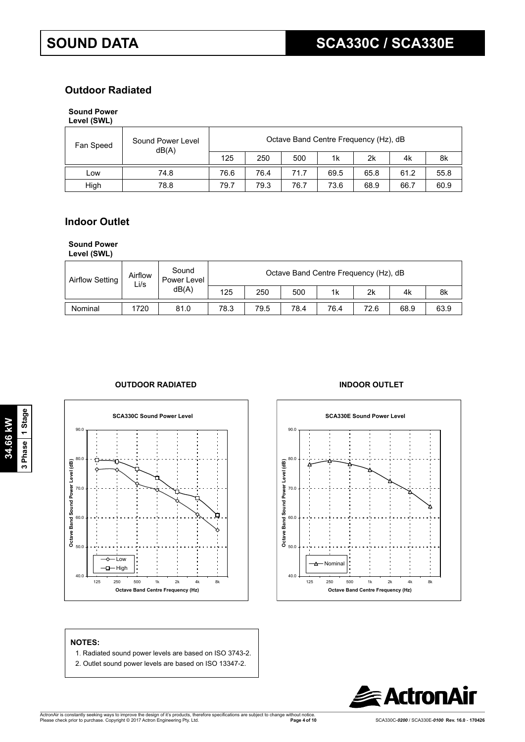## **Outdoor Radiated Outdoor Radiated**

#### **Sound Power Sound Power**

| Level (SWL) |                            |      |      |                                       |      |      |      |      |
|-------------|----------------------------|------|------|---------------------------------------|------|------|------|------|
| Fan Speed   | Sound Power Level<br>dB(A) |      |      | Octave Band Centre Frequency (Hz), dB |      |      |      |      |
|             |                            | 125  | 250  | 500                                   | 1k   | 2k   | 4k   | 8k   |
| Low         | 74.8                       | 76.6 | 76.4 | 71.7                                  | 69.5 | 65.8 | 61.2 | 55.8 |
| High        | 78.8                       | 79.7 | 79.3 | 76.7                                  | 73.6 | 68.9 | 66.7 | 60.9 |

## **Indoor Outlet Indoor Outlet**

### **Sound Power**

Level (SWL)

| <b>Airflow Setting</b> | Airflow<br>Li/s | Sound<br>Power Level |      |      |      |      | Octave Band Centre Frequency (Hz), dB |      |      |
|------------------------|-----------------|----------------------|------|------|------|------|---------------------------------------|------|------|
|                        |                 | dB(A)                | 125  | 250  | 500  | 1k   | 2k                                    | 4k   | 8k   |
| Nominal                | 1720            | 81.0                 | 78.3 | 79.5 | 78.4 | 76.4 | 72.6                                  | 68.9 | 63.9 |

### **OUTDOOR RADIATED INDOOR OUTLET**







#### **NOTES:**

- 1. Radiated sound power levels are based on ISO 3743-2.
- 2. Outlet sound power levels are based on ISO 13347-2.

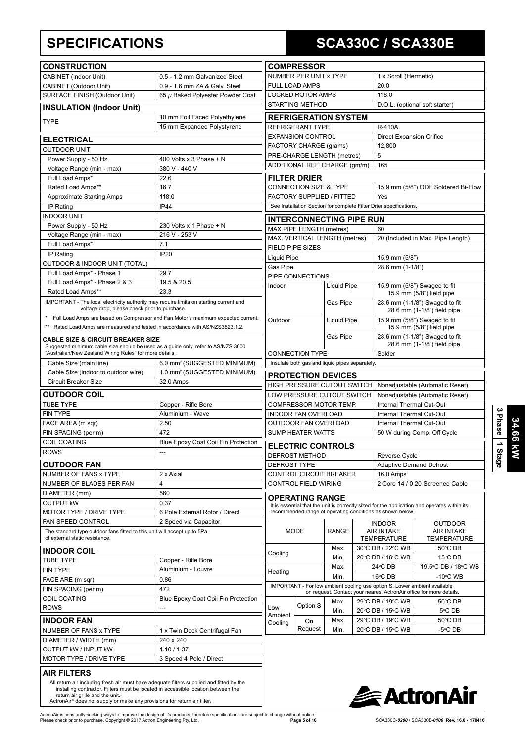## **SPECIFICATIONS SCA330C / SCA330E**

| <b>CONSTRUCTION</b>                                                                                                                                                                          |                                                                                  |
|----------------------------------------------------------------------------------------------------------------------------------------------------------------------------------------------|----------------------------------------------------------------------------------|
| CABINET (Indoor Unit)                                                                                                                                                                        | 0.5 - 1.2 mm Galvanized Steel                                                    |
| CABINET (Outdoor Unit)                                                                                                                                                                       | 0.9 - 1.6 mm ZA & Galv. Steel                                                    |
| SURFACE FINISH (Outdoor Unit)                                                                                                                                                                | 65 µ Baked Polyester Powder Coat                                                 |
| <b>INSULATION (Indoor Unit)</b>                                                                                                                                                              |                                                                                  |
| <b>TYPE</b>                                                                                                                                                                                  | 10 mm Foil Faced Polyethylene<br>15 mm Expanded Polystyrene                      |
| <b>ELECTRICAL</b>                                                                                                                                                                            |                                                                                  |
| <b>OUTDOOR UNIT</b>                                                                                                                                                                          |                                                                                  |
| Power Supply - 50 Hz                                                                                                                                                                         | 400 Volts x 3 Phase + N                                                          |
| Voltage Range (min - max)                                                                                                                                                                    | 380 V - 440 V                                                                    |
| Full Load Amps*                                                                                                                                                                              | 22.6                                                                             |
| Rated Load Amps**                                                                                                                                                                            | 16.7                                                                             |
| <b>Approximate Starting Amps</b>                                                                                                                                                             | 118.0                                                                            |
| IP Rating                                                                                                                                                                                    | <b>IP44</b>                                                                      |
| <b>INDOOR UNIT</b>                                                                                                                                                                           |                                                                                  |
| Power Supply - 50 Hz                                                                                                                                                                         | 230 Volts x 1 Phase $+ N$                                                        |
| Voltage Range (min - max)                                                                                                                                                                    | 216 V - 253 V                                                                    |
| Full Load Amps*                                                                                                                                                                              | 7.1                                                                              |
| IP Rating                                                                                                                                                                                    | <b>IP20</b>                                                                      |
| OUTDOOR & INDOOR UNIT (TOTAL)                                                                                                                                                                |                                                                                  |
| Full Load Amps* - Phase 1                                                                                                                                                                    | 29.7                                                                             |
| Full Load Amps* - Phase 2 & 3                                                                                                                                                                | 19.5 & 20.5                                                                      |
| Rated Load Amps**                                                                                                                                                                            | 23.3                                                                             |
| IMPORTANT - The local electricity authority may require limits on starting current and                                                                                                       |                                                                                  |
| voltage drop, please check prior to purchase.<br>$\star$                                                                                                                                     |                                                                                  |
| $^{\star\star}$                                                                                                                                                                              | Full Load Amps are based on Compressor and Fan Motor's maximum expected current. |
| Rated Load Amps are measured and tested in accordance with AS/NZS3823.1.2.                                                                                                                   |                                                                                  |
| <b>CABLE SIZE &amp; CIRCUIT BREAKER SIZE</b><br>Suggested minimum cable size should be used as a guide only, refer to AS/NZS 3000<br>"Australian/New Zealand Wiring Rules" for more details. |                                                                                  |
| Cable Size (main line)                                                                                                                                                                       | 6.0 mm <sup>2</sup> (SUGGESTED MINIMUM)                                          |
| Cable Size (indoor to outdoor wire)                                                                                                                                                          | 1.0 mm <sup>2</sup> (SUGGESTED MINIMUM)                                          |
| Circuit Breaker Size                                                                                                                                                                         | 32.0 Amps                                                                        |
| <b>OUTDOOR COIL</b>                                                                                                                                                                          |                                                                                  |
| <b>TUBE TYPE</b>                                                                                                                                                                             | Copper - Rifle Bore                                                              |
| <b>FIN TYPE</b>                                                                                                                                                                              | Aluminium - Wave                                                                 |
| FACE AREA (m sqr)                                                                                                                                                                            | 2.50                                                                             |
| FIN SPACING (per m)                                                                                                                                                                          | 472                                                                              |
| <b>COIL COATING</b>                                                                                                                                                                          | Blue Epoxy Coat Coil Fin Protection                                              |
| ROWS                                                                                                                                                                                         |                                                                                  |
|                                                                                                                                                                                              |                                                                                  |
| <b>OUTDOOR FAN</b>                                                                                                                                                                           |                                                                                  |
| <b>NUMBER OF FANS x TYPE</b>                                                                                                                                                                 | 2 x Axial                                                                        |
| NUMBER OF BLADES PER FAN                                                                                                                                                                     | 4                                                                                |
| DIAMETER (mm)                                                                                                                                                                                | 560                                                                              |
| <b>OUTPUT KW</b><br><b>MOTOR TYPE / DRIVE TYPE</b>                                                                                                                                           | 0.37<br>6 Pole External Rotor / Direct                                           |
| FAN SPEED CONTROL                                                                                                                                                                            | 2 Speed via Capacitor                                                            |
| The standard type outdoor fans fitted to this unit will accept up to 5Pa                                                                                                                     |                                                                                  |
| of external static resistance.                                                                                                                                                               |                                                                                  |
| <b>INDOOR COIL</b>                                                                                                                                                                           |                                                                                  |
| TUBE TYPE                                                                                                                                                                                    | Copper - Rifle Bore                                                              |
| <b>FIN TYPE</b>                                                                                                                                                                              | Aluminium - Louvre                                                               |
| FACE ARE (m sqr)                                                                                                                                                                             | 0.86                                                                             |
| FIN SPACING (per m)                                                                                                                                                                          | 472                                                                              |
| COIL COATING                                                                                                                                                                                 | Blue Epoxy Coat Coil Fin Protection                                              |
| <b>ROWS</b>                                                                                                                                                                                  |                                                                                  |
|                                                                                                                                                                                              |                                                                                  |
| <b>INDOOR FAN</b>                                                                                                                                                                            |                                                                                  |
| NUMBER OF FANS x TYPE                                                                                                                                                                        | 1 x Twin Deck Centrifugal Fan                                                    |
| DIAMETER / WIDTH (mm)                                                                                                                                                                        | 240 x 240                                                                        |
| <b>OUTPUT KW / INPUT KW</b>                                                                                                                                                                  | 1.10 / 1.37                                                                      |
| <b>MOTOR TYPE / DRIVE TYPE</b>                                                                                                                                                               | 3 Speed 4 Pole / Direct                                                          |
| AIR FILTERS                                                                                                                                                                                  |                                                                                  |
|                                                                                                                                                                                              |                                                                                  |

| <b>COMPRESSOR</b>                                                                                                                                                            |                    |                                                                    |                                                               |  |  |  |
|------------------------------------------------------------------------------------------------------------------------------------------------------------------------------|--------------------|--------------------------------------------------------------------|---------------------------------------------------------------|--|--|--|
| NUMBER PER UNIT x TYPE                                                                                                                                                       |                    | 1 x Scroll (Hermetic)                                              |                                                               |  |  |  |
| <b>FULL LOAD AMPS</b>                                                                                                                                                        |                    | 20.0                                                               |                                                               |  |  |  |
| LOCKED ROTOR AMPS                                                                                                                                                            |                    | 118.0                                                              |                                                               |  |  |  |
| <b>STARTING METHOD</b>                                                                                                                                                       |                    |                                                                    | D.O.L. (optional soft starter)                                |  |  |  |
| <b>REFRIGERATION SYSTEM</b>                                                                                                                                                  |                    |                                                                    |                                                               |  |  |  |
| REFRIGERANT TYPE                                                                                                                                                             |                    | R-410A                                                             |                                                               |  |  |  |
| <b>EXPANSION CONTROL</b>                                                                                                                                                     |                    | <b>Direct Expansion Orifice</b>                                    |                                                               |  |  |  |
| FACTORY CHARGE (grams)                                                                                                                                                       |                    | 12.800                                                             |                                                               |  |  |  |
| PRE-CHARGE LENGTH (metres)                                                                                                                                                   |                    | 5                                                                  |                                                               |  |  |  |
| ADDITIONAL REF. CHARGE (gm/m)                                                                                                                                                |                    | 165                                                                |                                                               |  |  |  |
| FILTER DRIER                                                                                                                                                                 |                    |                                                                    |                                                               |  |  |  |
| <b>CONNECTION SIZE &amp; TYPE</b>                                                                                                                                            |                    |                                                                    | 15.9 mm (5/8") ODF Soldered Bi-Flow                           |  |  |  |
| FACTORY SUPPLIED / FITTED                                                                                                                                                    |                    | Yes                                                                |                                                               |  |  |  |
| See Installation Section for complete Filter Drier specifications.                                                                                                           |                    |                                                                    |                                                               |  |  |  |
| <b>INTERCONNECTING PIPE RUN</b>                                                                                                                                              |                    |                                                                    |                                                               |  |  |  |
| MAX PIPE LENGTH (metres)                                                                                                                                                     |                    | 60                                                                 |                                                               |  |  |  |
| MAX. VERTICAL LENGTH (metres)                                                                                                                                                |                    |                                                                    | 20 (Included in Max. Pipe Length)                             |  |  |  |
| <b>FIELD PIPE SIZES</b>                                                                                                                                                      |                    |                                                                    |                                                               |  |  |  |
| Liquid Pipe                                                                                                                                                                  |                    | 15.9 mm (5/8")                                                     |                                                               |  |  |  |
| Gas Pipe                                                                                                                                                                     |                    | 28.6 mm (1-1/8")                                                   |                                                               |  |  |  |
| PIPE CONNECTIONS                                                                                                                                                             |                    |                                                                    |                                                               |  |  |  |
| Indoor                                                                                                                                                                       | Liquid Pipe        | 15.9 mm (5/8") Swaged to fit<br>15.9 mm (5/8") field pipe          |                                                               |  |  |  |
|                                                                                                                                                                              | Gas Pipe           | 28.6 mm (1-1/8") Swaged to fit<br>28.6 mm (1-1/8") field pipe      |                                                               |  |  |  |
| Outdoor                                                                                                                                                                      | <b>Liquid Pipe</b> |                                                                    | 15.9 mm (5/8") Swaged to fit<br>15.9 mm (5/8") field pipe     |  |  |  |
|                                                                                                                                                                              | Gas Pipe           |                                                                    | 28.6 mm (1-1/8") Swaged to fit<br>28.6 mm (1-1/8") field pipe |  |  |  |
| <b>CONNECTION TYPE</b>                                                                                                                                                       |                    | Solder                                                             |                                                               |  |  |  |
| Insulate both gas and liquid pipes separately.                                                                                                                               |                    |                                                                    |                                                               |  |  |  |
|                                                                                                                                                                              |                    |                                                                    |                                                               |  |  |  |
| <b>PROTECTION DEVICES</b>                                                                                                                                                    |                    |                                                                    |                                                               |  |  |  |
| HIGH PRESSURE CUTOUT SWITCH<br>LOW PRESSURE CUTOUT SWITCH                                                                                                                    |                    | Nonadjustable (Automatic Reset)<br>Nonadjustable (Automatic Reset) |                                                               |  |  |  |
| COMPRESSOR MOTOR TEMP.                                                                                                                                                       |                    | <b>Internal Thermal Cut-Out</b>                                    |                                                               |  |  |  |
| <b>INDOOR FAN OVERLOAD</b>                                                                                                                                                   |                    | Internal Thermal Cut-Out                                           |                                                               |  |  |  |
| OUTDOOR FAN OVERLOAD                                                                                                                                                         |                    | Internal Thermal Cut-Out                                           |                                                               |  |  |  |
| SUMP HEATER WATTS                                                                                                                                                            |                    |                                                                    | 50 W during Comp. Off Cycle                                   |  |  |  |
|                                                                                                                                                                              |                    |                                                                    |                                                               |  |  |  |
| <b>ELECTRIC CONTROLS</b>                                                                                                                                                     |                    |                                                                    |                                                               |  |  |  |
| DEFROST METHOD<br><b>DEFROST TYPE</b>                                                                                                                                        |                    | Reverse Cycle                                                      |                                                               |  |  |  |
| <b>CONTROL CIRCUIT BREAKER</b>                                                                                                                                               |                    | <b>Adaptive Demand Defrost</b>                                     |                                                               |  |  |  |
| <b>CONTROL FIELD WIRING</b>                                                                                                                                                  |                    | 16.0 Amps                                                          | 2 Core 14 / 0.20 Screened Cable                               |  |  |  |
|                                                                                                                                                                              |                    |                                                                    |                                                               |  |  |  |
| OPERATING RANGE<br>It is essential that the unit is correctly sized for the application and operates within its<br>recommended range of operating conditions as shown below. |                    |                                                                    |                                                               |  |  |  |
|                                                                                                                                                                              |                    | <b>INDOOR</b>                                                      | OUTDOOR                                                       |  |  |  |
| <b>MODE</b>                                                                                                                                                                  | <b>RANGE</b>       | AIR INTAKE<br><b>TEMPERATURE</b>                                   | <b>AIR INTAKE</b><br><b>TEMPERATURE</b>                       |  |  |  |
|                                                                                                                                                                              | Max.               | 30°C DB / 22°C WB                                                  | 50°C DB                                                       |  |  |  |
| Cooling                                                                                                                                                                      | Min.               | 20°C DB / 16°C WB                                                  | 15°C DB                                                       |  |  |  |
|                                                                                                                                                                              | Max.               | 24°C DB                                                            | 19.5°C DB / 18°C WB                                           |  |  |  |
| Heating                                                                                                                                                                      | Min.               | 16°C DB                                                            | $-10^{\circ}$ C WB                                            |  |  |  |
| IMPORTANT - For low ambient cooling use option S. Lower ambient available                                                                                                    |                    |                                                                    |                                                               |  |  |  |

IMPORTANT - For low ambient cooling use option S. Lower ambient available on request. Contact your nearest ActronAir office for more details. bient oling Option S Max.  $\overline{C}$  DB / 19 $\degree$ C WB  $\qquad$  50 $\degree$ 50°C DB Min.  $\mathsf{C}\ \mathsf{DB}\ \mathsf{I}\ 15^\circ\mathsf{C}\ \mathsf{WB}\ \mathsf{I}\qquad\qquad 5^\circ$ 5°C DB On Request Max.  $\overline{C}$  DB / 19 $\degree$ C WB  $\qquad$  50 $\degree$ 50°C DB Min.  $\overline{C}$  DB / 15 $^{\circ}$ C WB  $\vert$  -5 $^{\circ}$  $-5^{\circ}$ CDB



**3 Phase**

ActronAir is constantly seeking ways to improve the design of it's products, therefore specifications are subject to change without notice.<br>Please check prior to purchase. Copyright © 2017 Actron Engineering Pty. Ltd.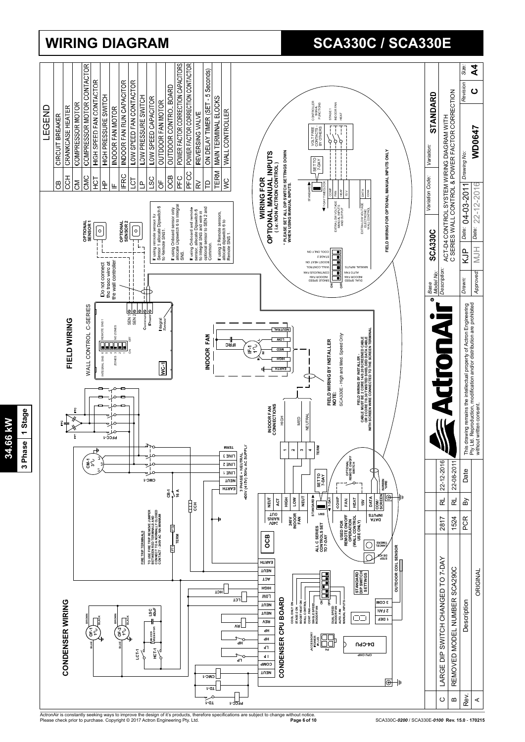

ActronAir is constantly seeking ways to improve the design of it's products, therefore specifications are subject to change without notice.<br>Please check prior to purchase. Copyright © 2017 Actron Engineering Pty. Ltd.

## 3 Phase 1 Stage **3 Phase 1 Stage**34.66 kW **34.66 kW**

## **WIRING DIAGRAM SCA330C / SCA330E**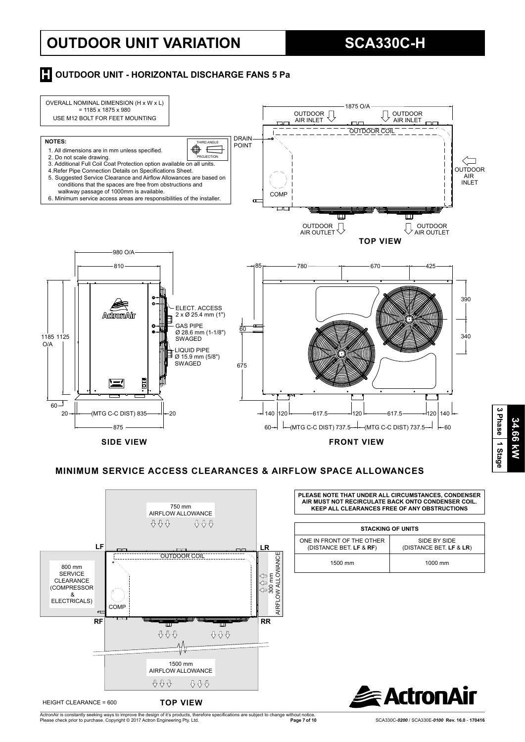## **OUTDOOR UNIT VARIATION SCA330C-H**

### **H** OUTDOOR UNIT - HORIZONTAL DISCHARGE FANS 5 Pa



#### **MINIMUM SERVICE ACCESS CLEARANCES & AIRFLOW SPACE ALLOWANCES**



HEIGHT CLEARANCE = 600

ActronAir is constantly seeking ways to improve the design of it's products, therefore specifications are subject to change without notice.<br>Please check prior to purchase. Copyright © 2017 Actron Engineering Pty. Ltd.

**PLEASE NOTE THAT UNDER ALL CIRCUMSTANCES, CONDENSER AIR MUST NOT RECIRCULATE BACK ONTO CONDENSER COIL. KEEP ALL CLEARANCES FREE OF ANY OBSTRUCTIONS**

|                                                      | <b>STACKING OF UNITS</b>                |
|------------------------------------------------------|-----------------------------------------|
| ONE IN FRONT OF THE OTHER<br>(DISTANCE BET. LF & RF) | SIDE BY SIDE<br>(DISTANCE BET. LF & LR) |
| 1500 mm                                              | 1000 mm                                 |